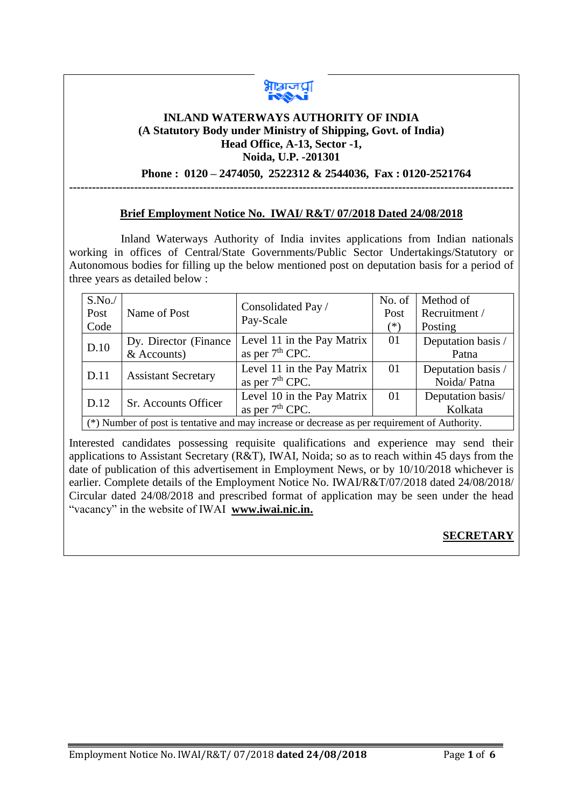

#### **INLAND WATERWAYS AUTHORITY OF INDIA (A Statutory Body under Ministry of Shipping, Govt. of India) Head Office, A-13, Sector -1, Noida, U.P. -201301**

## **Phone : 0120 – 2474050, 2522312 & 2544036, Fax : 0120-2521764**

## **Brief Employment Notice No. IWAI/ R&T/ 07/2018 Dated 24/08/2018**

**--------------------------------------------------------------------------------------------------------------------**

 Inland Waterways Authority of India invites applications from Indian nationals working in offices of Central/State Governments/Public Sector Undertakings/Statutory or Autonomous bodies for filling up the below mentioned post on deputation basis for a period of three years as detailed below :

| S.No.<br>Post<br>Code                                                                         | Name of Post                            | Consolidated Pay /<br>Pay-Scale                           | No. of<br>Post<br>$(*)$ | Method of<br>Recruitment /<br>Posting |  |
|-----------------------------------------------------------------------------------------------|-----------------------------------------|-----------------------------------------------------------|-------------------------|---------------------------------------|--|
| D.10                                                                                          | Dy. Director (Finance)<br>$&$ Accounts) | Level 11 in the Pay Matrix<br>as per 7 <sup>th</sup> CPC. | 01                      | Deputation basis /<br>Patna           |  |
| D.11                                                                                          | <b>Assistant Secretary</b>              | Level 11 in the Pay Matrix<br>as per 7 <sup>th</sup> CPC. | 01                      | Deputation basis /<br>Noida/Patna     |  |
| D.12                                                                                          | Sr. Accounts Officer                    | Level 10 in the Pay Matrix<br>as per $7th$ CPC.           | 01                      | Deputation basis/<br>Kolkata          |  |
| (*) Number of post is tentative and may increase or decrease as per requirement of Authority. |                                         |                                                           |                         |                                       |  |

Interested candidates possessing requisite qualifications and experience may send their applications to Assistant Secretary (R&T), IWAI, Noida; so as to reach within 45 days from the date of publication of this advertisement in Employment News, or by 10/10/2018 whichever is earlier. Complete details of the Employment Notice No. IWAI/R&T/07/2018 dated 24/08/2018/ Circular dated 24/08/2018 and prescribed format of application may be seen under the head "vacancy" in the website of IWAI **[www.iwai.nic.in.](http://www.iwai.nic.in/)**

# **SECRETARY**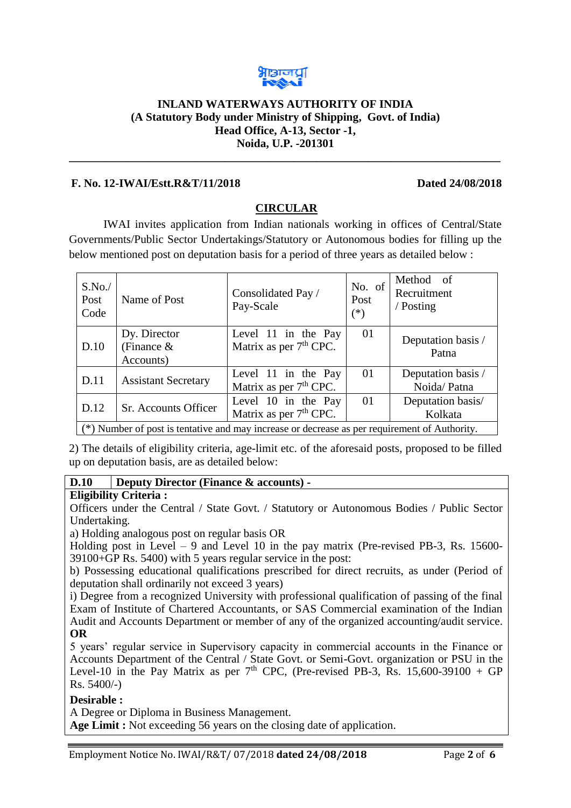

#### **INLAND WATERWAYS AUTHORITY OF INDIA (A Statutory Body under Ministry of Shipping, Govt. of India) Head Office, A-13, Sector -1, Noida, U.P. -201301**

**\_\_\_\_\_\_\_\_\_\_\_\_\_\_\_\_\_\_\_\_\_\_\_\_\_\_\_\_\_\_\_\_\_\_\_\_\_\_\_\_\_\_\_\_\_\_\_\_\_\_\_\_\_\_\_\_\_\_\_\_\_\_\_\_\_\_\_\_\_\_\_\_\_\_\_**

## **F. No. 12-IWAI/Estt.R&T/11/2018 Dated 24/08/2018**

# **CIRCULAR**

IWAI invites application from Indian nationals working in offices of Central/State Governments/Public Sector Undertakings/Statutory or Autonomous bodies for filling up the below mentioned post on deputation basis for a period of three years as detailed below :

| S.No.<br>Post<br>Code                                                                         | Name of Post                               | Consolidated Pay /<br>Pay-Scale                           | No. of<br>Post<br>$(*)$ | Method of<br>Recruitment<br>/ Posting |  |
|-----------------------------------------------------------------------------------------------|--------------------------------------------|-----------------------------------------------------------|-------------------------|---------------------------------------|--|
| D.10                                                                                          | Dy. Director<br>(Finance $\&$<br>Accounts) | Level 11 in the Pay<br>Matrix as per 7 <sup>th</sup> CPC. | 01                      | Deputation basis /<br>Patna           |  |
| D.11                                                                                          | <b>Assistant Secretary</b>                 | Level 11 in the Pay<br>Matrix as per 7 <sup>th</sup> CPC. | 01                      | Deputation basis /<br>Noida/Patna     |  |
| D.12                                                                                          | Sr. Accounts Officer                       | Level 10 in the Pay<br>Matrix as per $7th$ CPC.           | 01                      | Deputation basis/<br>Kolkata          |  |
| (*) Number of post is tentative and may increase or decrease as per requirement of Authority. |                                            |                                                           |                         |                                       |  |

2) The details of eligibility criteria, age-limit etc. of the aforesaid posts, proposed to be filled up on deputation basis, are as detailed below:

## **D.10 Deputy Director (Finance & accounts) -**

#### **Eligibility Criteria :**

Officers under the Central / State Govt. / Statutory or Autonomous Bodies / Public Sector Undertaking.

a) Holding analogous post on regular basis OR

Holding post in Level – 9 and Level 10 in the pay matrix (Pre-revised PB-3, Rs. 15600- 39100+GP Rs. 5400) with 5 years regular service in the post:

b) Possessing educational qualifications prescribed for direct recruits, as under (Period of deputation shall ordinarily not exceed 3 years)

i) Degree from a recognized University with professional qualification of passing of the final Exam of Institute of Chartered Accountants, or SAS Commercial examination of the Indian Audit and Accounts Department or member of any of the organized accounting/audit service. **OR**

5 years' regular service in Supervisory capacity in commercial accounts in the Finance or Accounts Department of the Central / State Govt. or Semi-Govt. organization or PSU in the Level-10 in the Pay Matrix as per  $7<sup>th</sup>$  CPC, (Pre-revised PB-3, Rs. 15,600-39100 + GP Rs. 5400/-)

## **Desirable :**

A Degree or Diploma in Business Management.

**Age Limit :** Not exceeding 56 years on the closing date of application.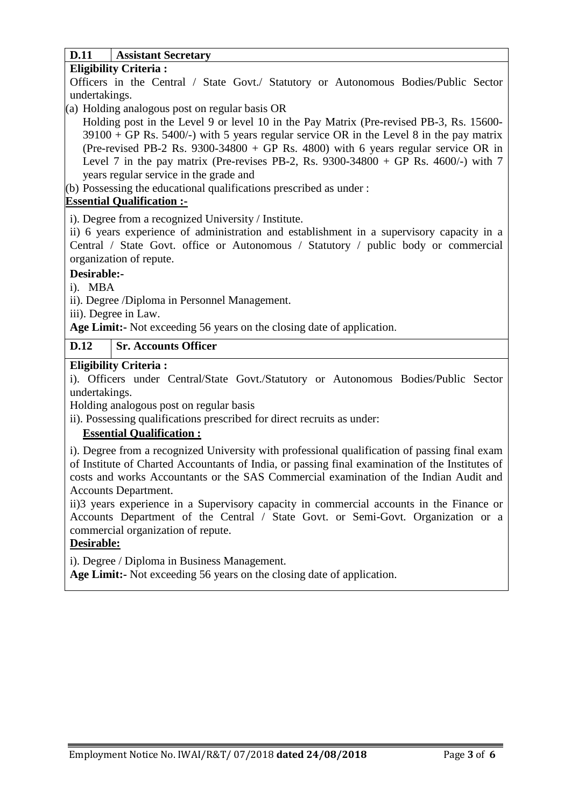## **D.11 Assistant Secretary**

#### **Eligibility Criteria :**

Officers in the Central / State Govt./ Statutory or Autonomous Bodies/Public Sector undertakings.

- (a) Holding analogous post on regular basis OR
- Holding post in the Level 9 or level 10 in the Pay Matrix (Pre-revised PB-3, Rs. 15600-  $39100 + GP$  Rs. 5400/-) with 5 years regular service OR in the Level 8 in the pay matrix (Pre-revised PB-2 Rs. 9300-34800 + GP Rs. 4800) with 6 years regular service OR in Level 7 in the pay matrix (Pre-revises PB-2, Rs. 9300-34800 + GP Rs. 4600/-) with 7 years regular service in the grade and

(b) Possessing the educational qualifications prescribed as under :

## **Essential Qualification :-**

i). Degree from a recognized University / Institute.

ii) 6 years experience of administration and establishment in a supervisory capacity in a Central / State Govt. office or Autonomous / Statutory / public body or commercial organization of repute.

## **Desirable:-**

i). MBA

ii). Degree /Diploma in Personnel Management.

iii). Degree in Law.

**Age Limit:-** Not exceeding 56 years on the closing date of application.

## **D.12 Sr. Accounts Officer**

### **Eligibility Criteria :**

i). Officers under Central/State Govt./Statutory or Autonomous Bodies/Public Sector undertakings.

Holding analogous post on regular basis

ii). Possessing qualifications prescribed for direct recruits as under:

# **Essential Qualification :**

i). Degree from a recognized University with professional qualification of passing final exam of Institute of Charted Accountants of India, or passing final examination of the Institutes of costs and works Accountants or the SAS Commercial examination of the Indian Audit and Accounts Department.

ii)3 years experience in a Supervisory capacity in commercial accounts in the Finance or Accounts Department of the Central / State Govt. or Semi-Govt. Organization or a commercial organization of repute.

# **Desirable:**

i). Degree / Diploma in Business Management.

**Age Limit:-** Not exceeding 56 years on the closing date of application.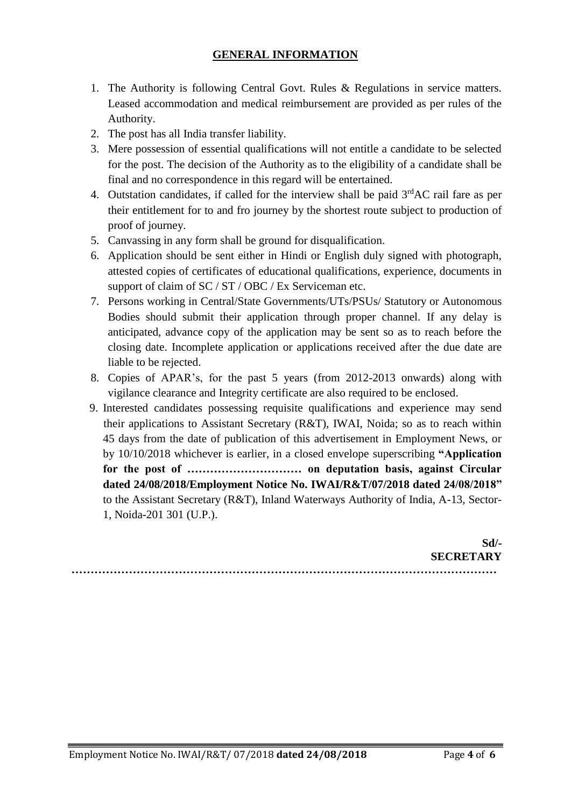# **GENERAL INFORMATION**

- 1. The Authority is following Central Govt. Rules & Regulations in service matters. Leased accommodation and medical reimbursement are provided as per rules of the Authority.
- 2. The post has all India transfer liability.
- 3. Mere possession of essential qualifications will not entitle a candidate to be selected for the post. The decision of the Authority as to the eligibility of a candidate shall be final and no correspondence in this regard will be entertained.
- 4. Outstation candidates, if called for the interview shall be paid  $3<sup>rd</sup>AC$  rail fare as per their entitlement for to and fro journey by the shortest route subject to production of proof of journey.
- 5. Canvassing in any form shall be ground for disqualification.
- 6. Application should be sent either in Hindi or English duly signed with photograph, attested copies of certificates of educational qualifications, experience, documents in support of claim of SC / ST / OBC / Ex Serviceman etc.
- 7. Persons working in Central/State Governments/UTs/PSUs/ Statutory or Autonomous Bodies should submit their application through proper channel. If any delay is anticipated, advance copy of the application may be sent so as to reach before the closing date. Incomplete application or applications received after the due date are liable to be rejected.
- 8. Copies of APAR's, for the past 5 years (from 2012-2013 onwards) along with vigilance clearance and Integrity certificate are also required to be enclosed.
- 9. Interested candidates possessing requisite qualifications and experience may send their applications to Assistant Secretary (R&T), IWAI, Noida; so as to reach within 45 days from the date of publication of this advertisement in Employment News, or by 10/10/2018 whichever is earlier, in a closed envelope superscribing **"Application for the post of ………………………… on deputation basis, against Circular dated 24/08/2018/Employment Notice No. IWAI/R&T/07/2018 dated 24/08/2018"**  to the Assistant Secretary (R&T), Inland Waterways Authority of India, A-13, Sector-1, Noida-201 301 (U.P.).

**Sd/- SECRETARY …………………………………………………………………………………………………**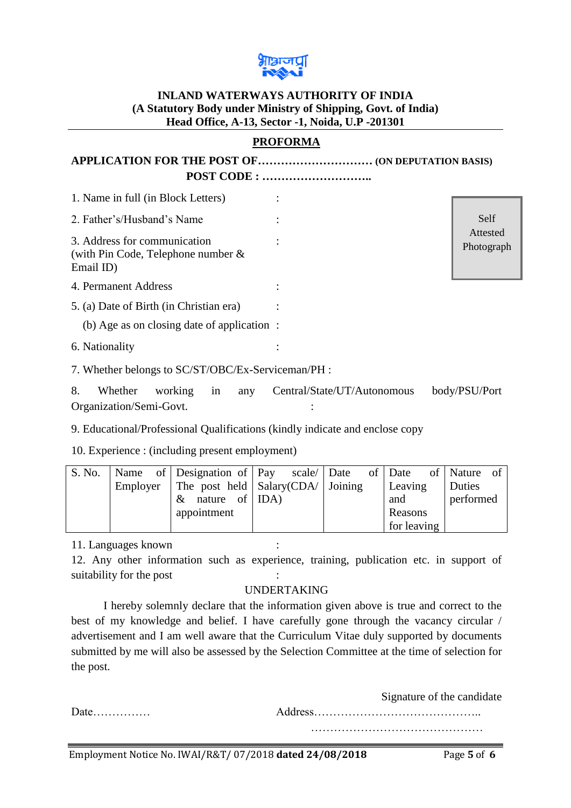

## **INLAND WATERWAYS AUTHORITY OF INDIA (A Statutory Body under Ministry of Shipping, Govt. of India) Head Office, A-13, Sector -1, Noida, U.P -201301**

## **PROFORMA**

**APPLICATION FOR THE POST OF………………………… (ON DEPUTATION BASIS) POST CODE : ………………………..**

| 1. Name in full (in Block Letters)                                                 |                        |
|------------------------------------------------------------------------------------|------------------------|
| 2. Father's/Husband's Name                                                         | Self                   |
| 3. Address for communication<br>(with Pin Code, Telephone number $\&$<br>Email ID) | Attested<br>Photograph |
| 4. Permanent Address                                                               |                        |
| 5. (a) Date of Birth (in Christian era)                                            |                        |
| (b) Age as on closing date of application :                                        |                        |
| 6. Nationality                                                                     |                        |
| 7. Whether belongs to SC/ST/OBC/Ex-Serviceman/PH :                                 |                        |

8. Whether working in any Central/State/UT/Autonomous body/PSU/Port Organization/Semi-Govt. :

9. Educational/Professional Qualifications (kindly indicate and enclose copy

10. Experience : (including present employment)

| S. No. |  | Name of Designation of Pay scale Date                        |  |  | of Date     | of Nature of |  |
|--------|--|--------------------------------------------------------------|--|--|-------------|--------------|--|
|        |  | Employer   The post held $\vert$ Salary(CDA/ $\vert$ Joining |  |  | Leaving     | Duties       |  |
|        |  | $\&$ nature of IDA)                                          |  |  | and         | performed    |  |
|        |  | appointment                                                  |  |  | Reasons     |              |  |
|        |  |                                                              |  |  | for leaving |              |  |

11. Languages known :

12. Any other information such as experience, training, publication etc. in support of suitability for the post

## UNDERTAKING

I hereby solemnly declare that the information given above is true and correct to the best of my knowledge and belief. I have carefully gone through the vacancy circular / advertisement and I am well aware that the Curriculum Vitae duly supported by documents submitted by me will also be assessed by the Selection Committee at the time of selection for the post.

|                                | Signature of the candidate |
|--------------------------------|----------------------------|
| $Date \dots \dots \dots \dots$ |                            |
|                                |                            |